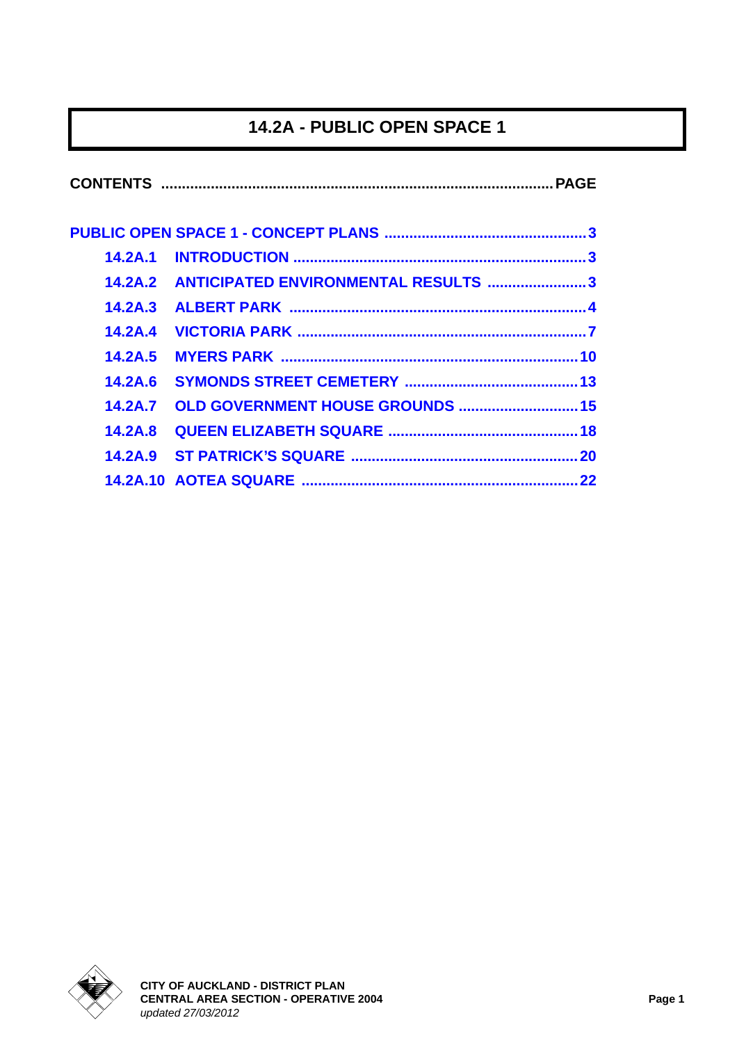# **14.2A - PUBLIC OPEN SPACE 1**

| 14.2A.2 ANTICIPATED ENVIRONMENTAL RESULTS 3 |  |
|---------------------------------------------|--|
|                                             |  |
|                                             |  |
|                                             |  |
|                                             |  |
| 14.2A.7 OLD GOVERNMENT HOUSE GROUNDS  15    |  |
|                                             |  |
|                                             |  |
|                                             |  |

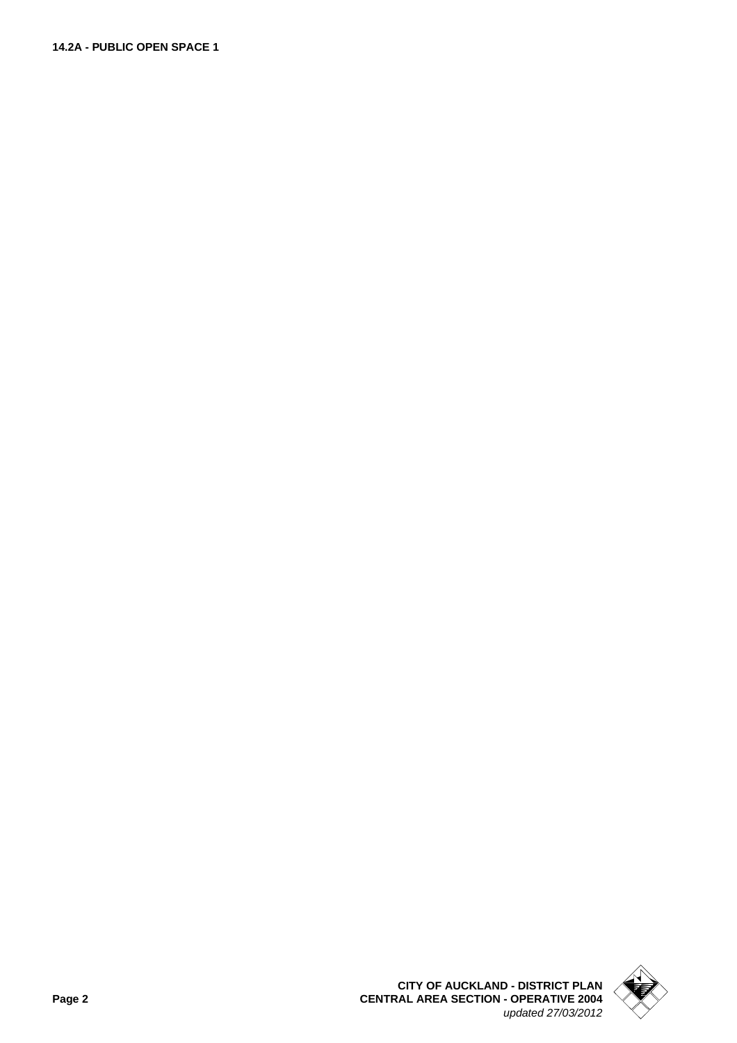**14.2A - PUBLIC OPEN SPACE 1**

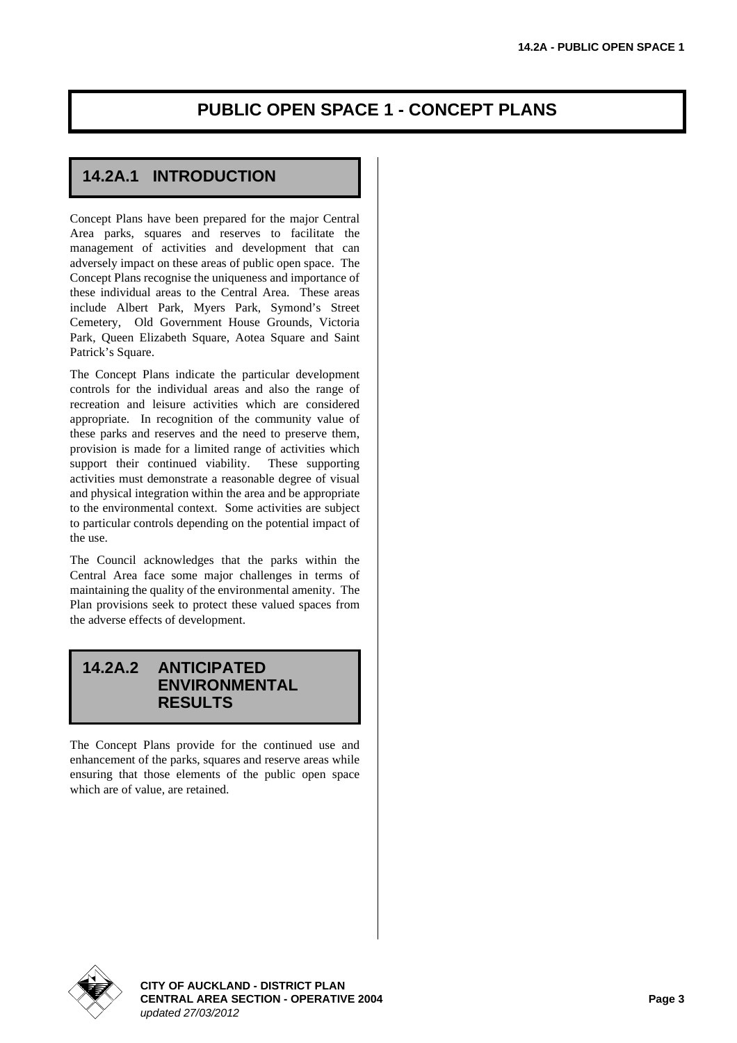## **PUBLIC OPEN SPACE 1 - CONCEPT PLANS**

## <span id="page-2-1"></span><span id="page-2-0"></span>**14.2A.1 INTRODUCTION**

Concept Plans have been prepared for the major Central Area parks, squares and reserves to facilitate the management of activities and development that can adversely impact on these areas of public open space. The Concept Plans recognise the uniqueness and importance of these individual areas to the Central Area. These areas include Albert Park, Myers Park, Symond's Street Cemetery, Old Government House Grounds, Victoria Park, Queen Elizabeth Square, Aotea Square and Saint Patrick's Square.

The Concept Plans indicate the particular development controls for the individual areas and also the range of recreation and leisure activities which are considered appropriate. In recognition of the community value of these parks and reserves and the need to preserve them, provision is made for a limited range of activities which support their continued viability. These supporting activities must demonstrate a reasonable degree of visual and physical integration within the area and be appropriate to the environmental context. Some activities are subject to particular controls depending on the potential impact of the use.

The Council acknowledges that the parks within the Central Area face some major challenges in terms of maintaining the quality of the environmental amenity. The Plan provisions seek to protect these valued spaces from the adverse effects of development.

#### <span id="page-2-2"></span>**14.2A.2 ANTICIPATED ENVIRONMENTAL RESULTS**

The Concept Plans provide for the continued use and enhancement of the parks, squares and reserve areas while ensuring that those elements of the public open space which are of value, are retained.

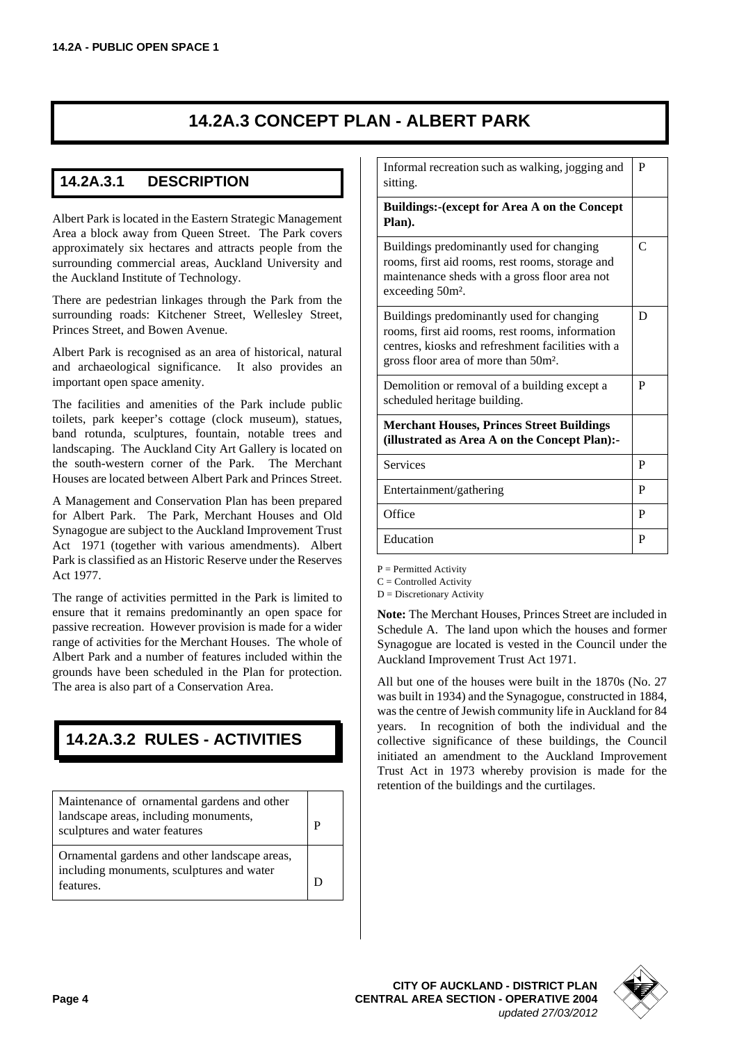# **14.2A.3 CONCEPT PLAN - ALBERT PARK**

### <span id="page-3-0"></span>**14.2A.3.1 DESCRIPTION**

Albert Park is located in the Eastern Strategic Management Area a block away from Queen Street. The Park covers approximately six hectares and attracts people from the surrounding commercial areas, Auckland University and the Auckland Institute of Technology.

There are pedestrian linkages through the Park from the surrounding roads: Kitchener Street, Wellesley Street, Princes Street, and Bowen Avenue.

Albert Park is recognised as an area of historical, natural and archaeological significance. It also provides an important open space amenity.

The facilities and amenities of the Park include public toilets, park keeper's cottage (clock museum), statues, band rotunda, sculptures, fountain, notable trees and landscaping. The Auckland City Art Gallery is located on the south-western corner of the Park. The Merchant Houses are located between Albert Park and Princes Street.

A Management and Conservation Plan has been prepared for Albert Park. The Park, Merchant Houses and Old Synagogue are subject to the Auckland Improvement Trust Act 1971 (together with various amendments). Albert Park is classified as an Historic Reserve under the Reserves Act 1977.

The range of activities permitted in the Park is limited to ensure that it remains predominantly an open space for passive recreation. However provision is made for a wider range of activities for the Merchant Houses. The whole of Albert Park and a number of features included within the grounds have been scheduled in the Plan for protection. The area is also part of a Conservation Area.

# **14.2A.3.2 RULES - ACTIVITIES**

| Maintenance of ornamental gardens and other<br>landscape areas, including monuments,<br>sculptures and water features | P |
|-----------------------------------------------------------------------------------------------------------------------|---|
| Ornamental gardens and other landscape areas,<br>including monuments, sculptures and water<br>features.               |   |

Informal recreation such as walking, jogging and sitting. P

**Buildings:-(except for Area A on the Concept Plan).**

Buildings predominantly used for changing rooms, first aid rooms, rest rooms, storage and maintenance sheds with a gross floor area not exceeding 50m².  $\mathcal{C}$ 

Buildings predominantly used for changing rooms, first aid rooms, rest rooms, information centres, kiosks and refreshment facilities with a gross floor area of more than 50m². D

Demolition or removal of a building except a scheduled heritage building.

**Merchant Houses, Princes Street Buildings (illustrated as Area A on the Concept Plan):-**

Services produced by the services produced by  $\mathbb{P}$ 

Entertainment/gathering P

Office P Education P

P = Permitted Activity

 $C =$  Controlled Activity

D = Discretionary Activity

**Note:** The Merchant Houses, Princes Street are included in Schedule A. The land upon which the houses and former Synagogue are located is vested in the Council under the Auckland Improvement Trust Act 1971.

All but one of the houses were built in the 1870s (No. 27 was built in 1934) and the Synagogue, constructed in 1884, was the centre of Jewish community life in Auckland for 84 years. In recognition of both the individual and the collective significance of these buildings, the Council initiated an amendment to the Auckland Improvement Trust Act in 1973 whereby provision is made for the retention of the buildings and the curtilages.



P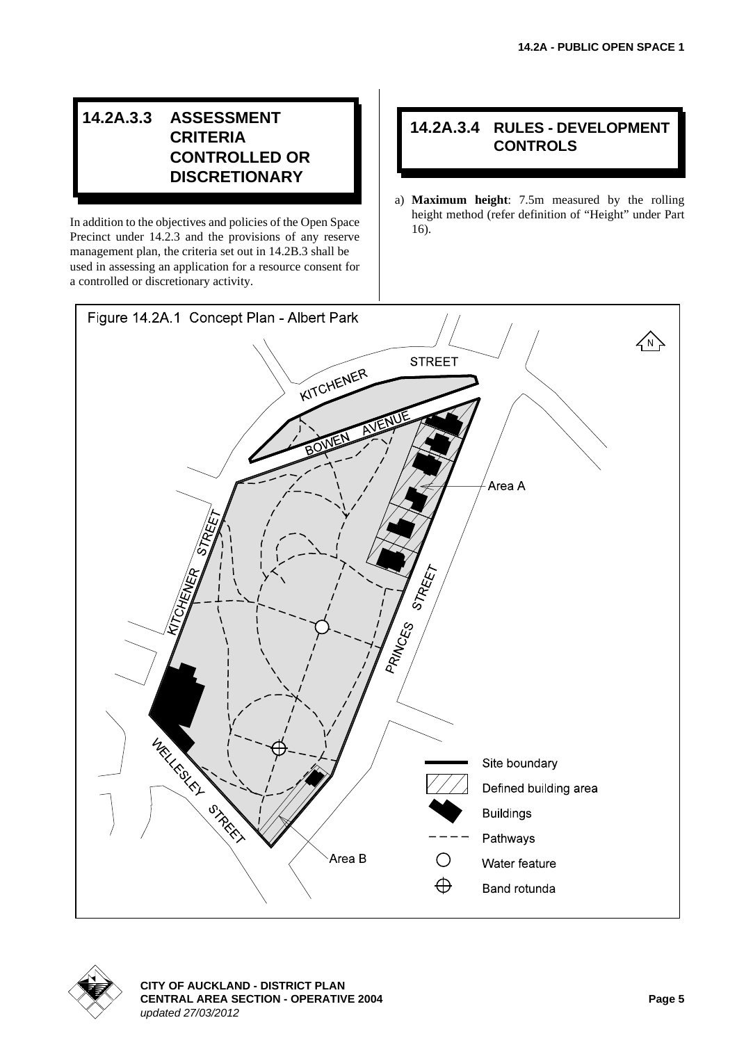## **14.2A.3.3 ASSESSMENT CRITERIA CONTROLLED OR DISCRETIONARY**

In addition to the objectives and policies of the Open Space Precinct under 14.2.3 and the provisions of any reserve management plan, the criteria set out in 14.2B.3 shall be used in assessing an application for a resource consent for a controlled or discretionary activity.

### **14.2A.3.4 RULES - DEVELOPMENT CONTROLS**

a) **Maximum height**: 7.5m measured by the rolling height method (refer definition of "Height" under Part 16).



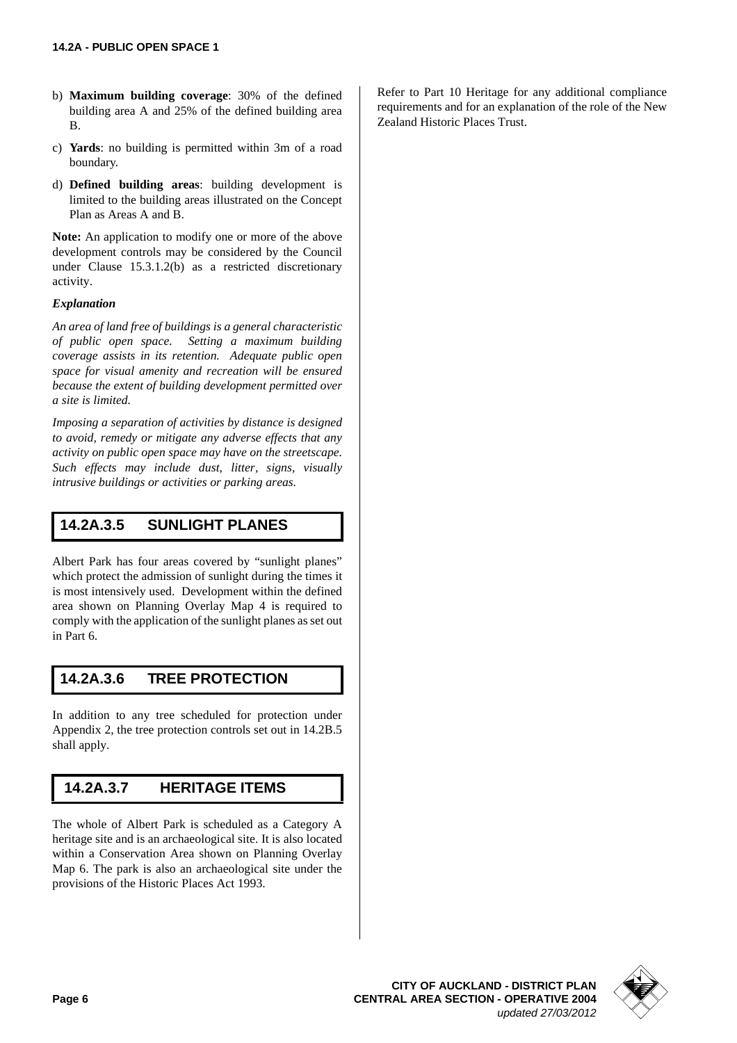- b) **Maximum building coverage**: 30% of the defined building area A and 25% of the defined building area B.
- c) **Yards**: no building is permitted within 3m of a road boundary.
- d) **Defined building areas**: building development is limited to the building areas illustrated on the Concept Plan as Areas A and B.

**Note:** An application to modify one or more of the above development controls may be considered by the Council under Clause 15.3.1.2(b) as a restricted discretionary activity.

#### *Explanation*

*An area of land free of buildings is a general characteristic of public open space. Setting a maximum building coverage assists in its retention. Adequate public open space for visual amenity and recreation will be ensured because the extent of building development permitted over a site is limited.*

*Imposing a separation of activities by distance is designed to avoid, remedy or mitigate any adverse effects that any activity on public open space may have on the streetscape. Such effects may include dust, litter, signs, visually intrusive buildings or activities or parking areas.*

#### **14.2A.3.5 SUNLIGHT PLANES**

Albert Park has four areas covered by "sunlight planes" which protect the admission of sunlight during the times it is most intensively used. Development within the defined area shown on Planning Overlay Map 4 is required to comply with the application of the sunlight planes as set out in Part 6.

#### **14.2A.3.6 TREE PROTECTION**

In addition to any tree scheduled for protection under Appendix 2, the tree protection controls set out in 14.2B.5 shall apply.

#### **14.2A.3.7 HERITAGE ITEMS**

The whole of Albert Park is scheduled as a Category A heritage site and is an archaeological site. It is also located within a Conservation Area shown on Planning Overlay Map 6. The park is also an archaeological site under the provisions of the Historic Places Act 1993.

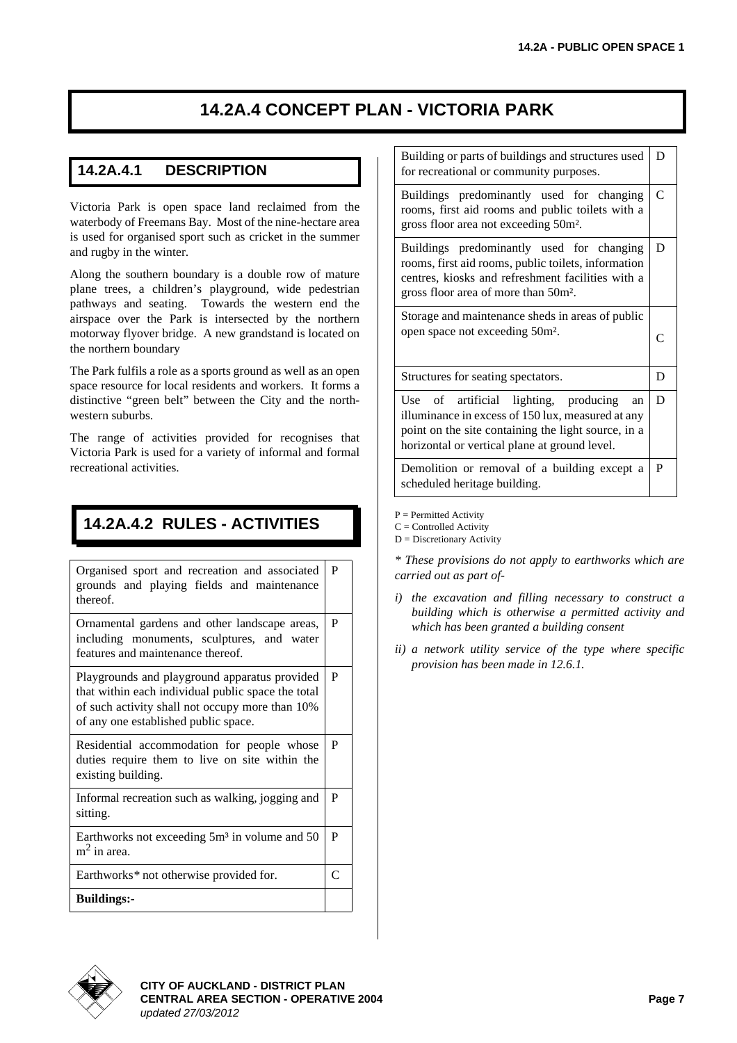# **14.2A.4 CONCEPT PLAN - VICTORIA PARK**

#### <span id="page-6-0"></span>**14.2A.4.1 DESCRIPTION**

Victoria Park is open space land reclaimed from the waterbody of Freemans Bay. Most of the nine-hectare area is used for organised sport such as cricket in the summer and rugby in the winter.

Along the southern boundary is a double row of mature plane trees, a children's playground, wide pedestrian pathways and seating. Towards the western end the airspace over the Park is intersected by the northern motorway flyover bridge. A new grandstand is located on the northern boundary

The Park fulfils a role as a sports ground as well as an open space resource for local residents and workers. It forms a distinctive "green belt" between the City and the northwestern suburbs.

The range of activities provided for recognises that Victoria Park is used for a variety of informal and formal recreational activities.

## **14.2A.4.2 RULES - ACTIVITIES**

| Organised sport and recreation and associated<br>grounds and playing fields and maintenance<br>thereof.                                                                                        | P |
|------------------------------------------------------------------------------------------------------------------------------------------------------------------------------------------------|---|
| Ornamental gardens and other landscape areas,<br>including monuments, sculptures, and water<br>features and maintenance thereof.                                                               | P |
| Playgrounds and playground apparatus provided<br>that within each individual public space the total<br>of such activity shall not occupy more than 10%<br>of any one established public space. | P |
| Residential accommodation for people whose<br>duties require them to live on site within the<br>existing building.                                                                             | P |
| Informal recreation such as walking, jogging and<br>sitting.                                                                                                                                   | P |
| Earthworks not exceeding 5m <sup>3</sup> in volume and 50<br>$m2$ in area.                                                                                                                     | P |
| Earthworks* not otherwise provided for.                                                                                                                                                        | C |
| <b>Buildings:-</b>                                                                                                                                                                             |   |

| Building or parts of buildings and structures used<br>for recreational or community purposes.                                                                                                             | D |
|-----------------------------------------------------------------------------------------------------------------------------------------------------------------------------------------------------------|---|
| Buildings predominantly used for changing<br>rooms, first aid rooms and public toilets with a<br>gross floor area not exceeding 50m <sup>2</sup> .                                                        | C |
| Buildings predominantly used for changing<br>rooms, first aid rooms, public toilets, information<br>centres, kiosks and refreshment facilities with a<br>gross floor area of more than 50m <sup>2</sup> . | D |
| Storage and maintenance sheds in areas of public<br>open space not exceeding 50m <sup>2</sup> .                                                                                                           | C |
| Structures for seating spectators.                                                                                                                                                                        | D |
| Use of artificial lighting, producing<br>an<br>illuminance in excess of 150 lux, measured at any<br>point on the site containing the light source, in a<br>horizontal or vertical plane at ground level.  | D |
| Demolition or removal of a building except a<br>scheduled heritage building.                                                                                                                              | P |

 $P = Permitted Activity$ 

 $C =$  Controlled Activity

 $D =$  Discretionary Activity

*\* These provisions do not apply to earthworks which are carried out as part of-*

- *i) the excavation and filling necessary to construct a building which is otherwise a permitted activity and which has been granted a building consent*
- *ii) a network utility service of the type where specific provision has been made in 12.6.1.*

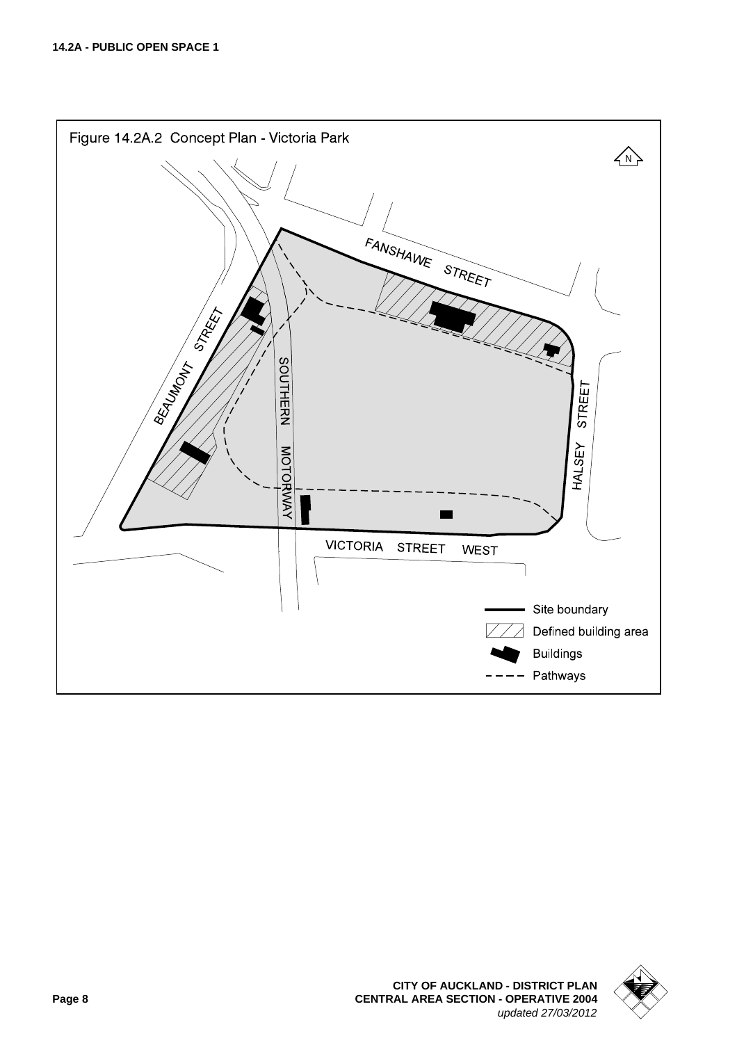

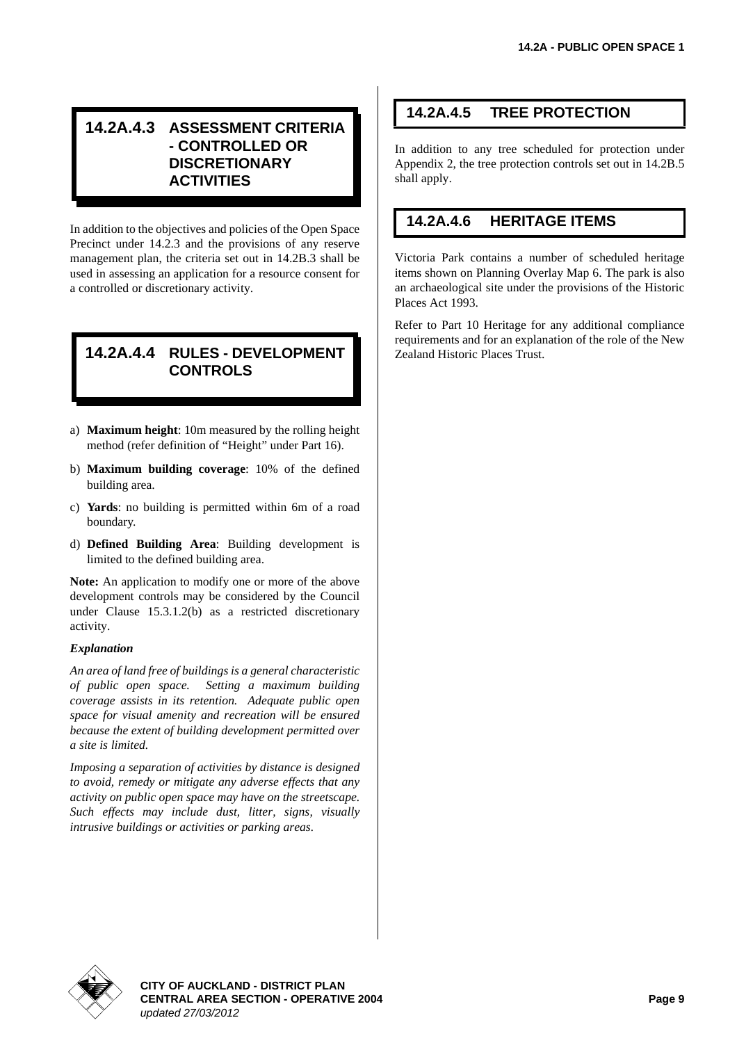#### **14.2A.4.3 ASSESSMENT CRITERIA - CONTROLLED OR DISCRETIONARY ACTIVITIES**

In addition to the objectives and policies of the Open Space Precinct under 14.2.3 and the provisions of any reserve management plan, the criteria set out in 14.2B.3 shall be used in assessing an application for a resource consent for a controlled or discretionary activity.

## **14.2A.4.4 RULES - DEVELOPMENT CONTROLS**

- a) **Maximum height**: 10m measured by the rolling height method (refer definition of "Height" under Part 16).
- b) **Maximum building coverage**: 10% of the defined building area.
- c) **Yards**: no building is permitted within 6m of a road boundary.
- d) **Defined Building Area**: Building development is limited to the defined building area.

**Note:** An application to modify one or more of the above development controls may be considered by the Council under Clause 15.3.1.2(b) as a restricted discretionary activity.

#### *Explanation*

*An area of land free of buildings is a general characteristic of public open space. Setting a maximum building coverage assists in its retention. Adequate public open space for visual amenity and recreation will be ensured because the extent of building development permitted over a site is limited.*

*Imposing a separation of activities by distance is designed to avoid, remedy or mitigate any adverse effects that any activity on public open space may have on the streetscape. Such effects may include dust, litter, signs, visually intrusive buildings or activities or parking areas.*

### **14.2A.4.5 TREE PROTECTION**

In addition to any tree scheduled for protection under Appendix 2, the tree protection controls set out in 14.2B.5 shall apply.

## **14.2A.4.6 HERITAGE ITEMS**

Victoria Park contains a number of scheduled heritage items shown on Planning Overlay Map 6. The park is also an archaeological site under the provisions of the Historic Places Act 1993.

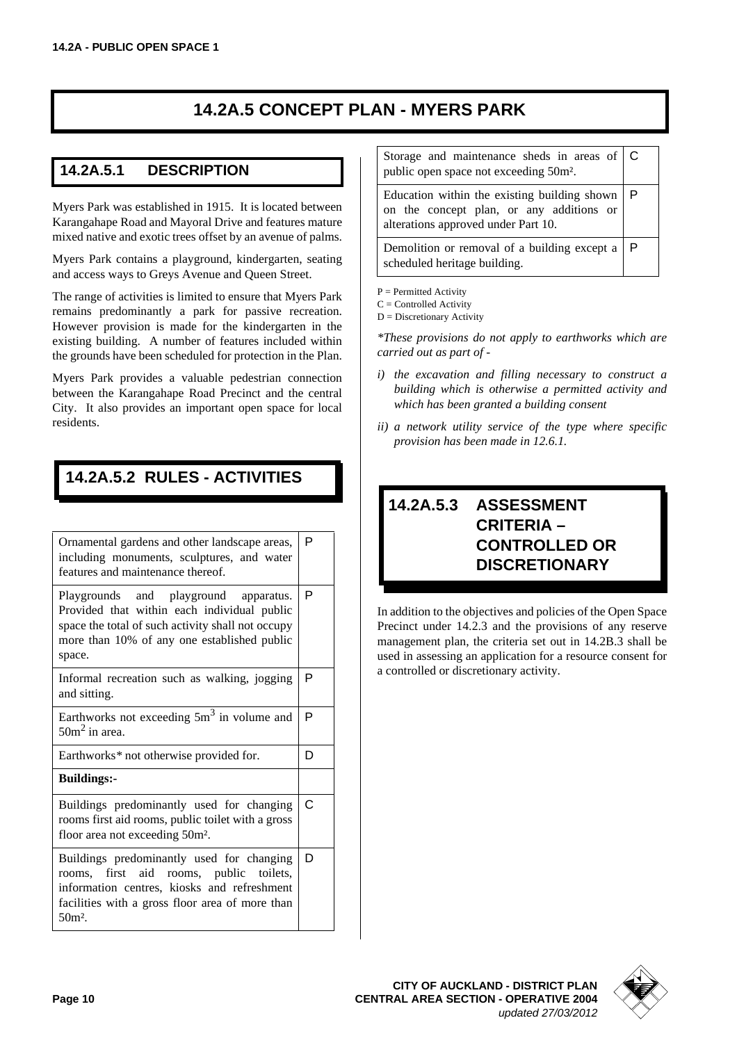# **14.2A.5 CONCEPT PLAN - MYERS PARK**

### <span id="page-9-0"></span>**14.2A.5.1 DESCRIPTION**

Myers Park was established in 1915. It is located between Karangahape Road and Mayoral Drive and features mature mixed native and exotic trees offset by an avenue of palms.

Myers Park contains a playground, kindergarten, seating and access ways to Greys Avenue and Queen Street.

The range of activities is limited to ensure that Myers Park remains predominantly a park for passive recreation. However provision is made for the kindergarten in the existing building. A number of features included within the grounds have been scheduled for protection in the Plan.

Myers Park provides a valuable pedestrian connection between the Karangahape Road Precinct and the central City. It also provides an important open space for local residents.

# **14.2A.5.2 RULES - ACTIVITIES**

| Ornamental gardens and other landscape areas,<br>including monuments, sculptures, and water<br>features and maintenance thereof.                                                                              | P |
|---------------------------------------------------------------------------------------------------------------------------------------------------------------------------------------------------------------|---|
| Playgrounds and playground apparatus.<br>Provided that within each individual public<br>space the total of such activity shall not occupy<br>more than 10% of any one established public<br>space.            | P |
| Informal recreation such as walking, jogging<br>and sitting.                                                                                                                                                  | P |
| Earthworks not exceeding $5m3$ in volume and<br>$50m2$ in area.                                                                                                                                               | P |
| Earthworks* not otherwise provided for.                                                                                                                                                                       | D |
| <b>Buildings:-</b>                                                                                                                                                                                            |   |
| Buildings predominantly used for changing<br>rooms first aid rooms, public toilet with a gross<br>floor area not exceeding 50m <sup>2</sup> .                                                                 | C |
| Buildings predominantly used for changing<br>first aid rooms, public toilets,<br>rooms,<br>information centres, kiosks and refreshment<br>facilities with a gross floor area of more than<br>50 <sub>m²</sub> | D |

Storage and maintenance sheds in areas of public open space not exceeding 50m². C

Education within the existing building shown on the concept plan, or any additions or alterations approved under Part 10. P

Demolition or removal of a building except a scheduled heritage building. P

- P = Permitted Activity
- $C =$  Controlled Activity
- D = Discretionary Activity

*\*These provisions do not apply to earthworks which are carried out as part of -*

- *i) the excavation and filling necessary to construct a building which is otherwise a permitted activity and which has been granted a building consent*
- *ii) a network utility service of the type where specific provision has been made in 12.6.1.*

## **14.2A.5.3 ASSESSMENT CRITERIA – CONTROLLED OR DISCRETIONARY**

In addition to the objectives and policies of the Open Space Precinct under 14.2.3 and the provisions of any reserve management plan, the criteria set out in 14.2B.3 shall be used in assessing an application for a resource consent for a controlled or discretionary activity.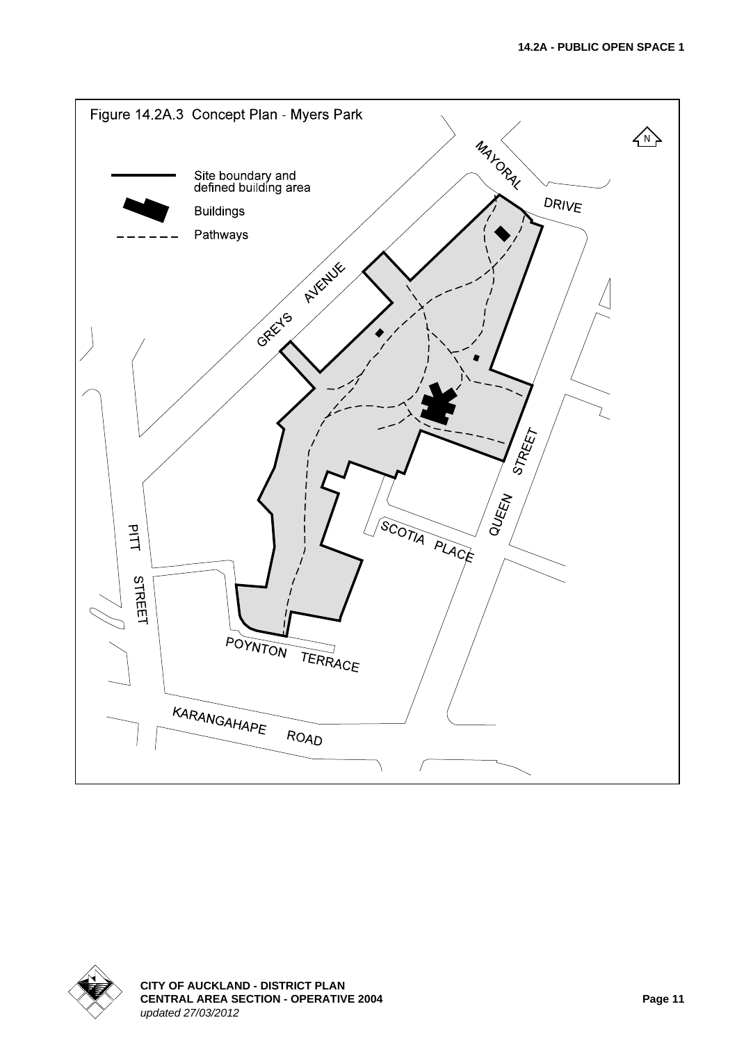

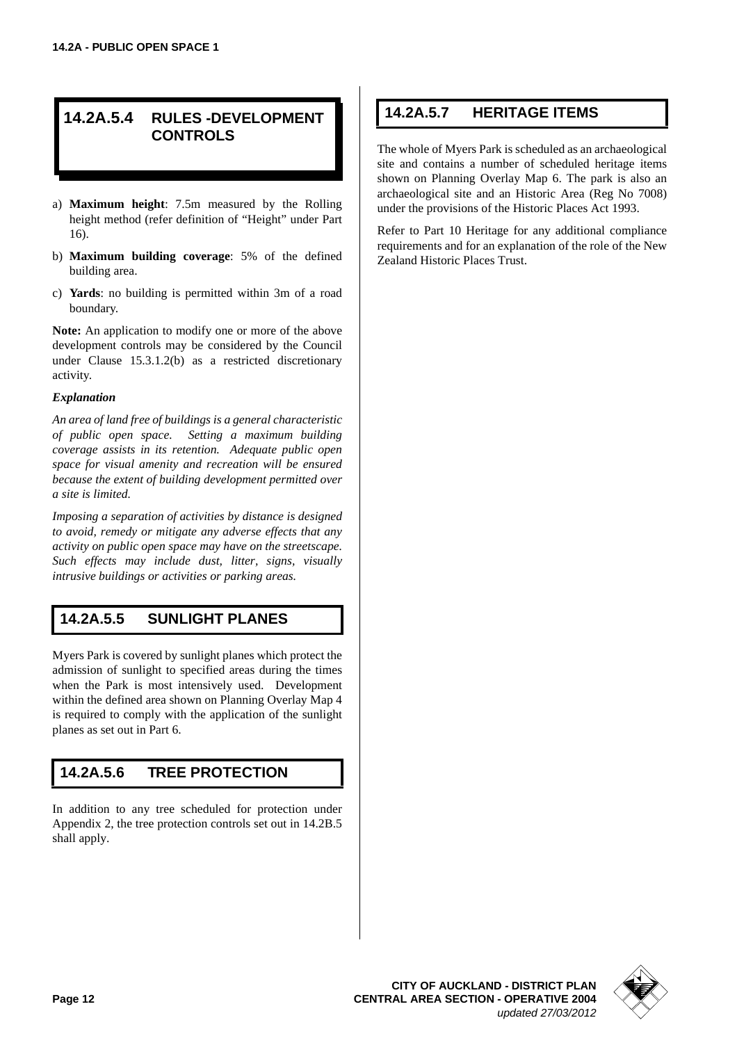## **14.2A.5.4 RULES -DEVELOPMENT CONTROLS**

- a) **Maximum height**: 7.5m measured by the Rolling height method (refer definition of "Height" under Part 16).
- b) **Maximum building coverage**: 5% of the defined building area.
- c) **Yards**: no building is permitted within 3m of a road boundary.

**Note:** An application to modify one or more of the above development controls may be considered by the Council under Clause 15.3.1.2(b) as a restricted discretionary activity.

#### *Explanation*

*An area of land free of buildings is a general characteristic of public open space. Setting a maximum building coverage assists in its retention. Adequate public open space for visual amenity and recreation will be ensured because the extent of building development permitted over a site is limited.*

*Imposing a separation of activities by distance is designed to avoid, remedy or mitigate any adverse effects that any activity on public open space may have on the streetscape. Such effects may include dust, litter, signs, visually intrusive buildings or activities or parking areas.*

## **14.2A.5.5 SUNLIGHT PLANES**

Myers Park is covered by sunlight planes which protect the admission of sunlight to specified areas during the times when the Park is most intensively used. Development within the defined area shown on Planning Overlay Map 4 is required to comply with the application of the sunlight planes as set out in Part 6.

## **14.2A.5.6 TREE PROTECTION**

In addition to any tree scheduled for protection under Appendix 2, the tree protection controls set out in 14.2B.5 shall apply.

## **14.2A.5.7 HERITAGE ITEMS**

The whole of Myers Park is scheduled as an archaeological site and contains a number of scheduled heritage items shown on Planning Overlay Map 6. The park is also an archaeological site and an Historic Area (Reg No 7008) under the provisions of the Historic Places Act 1993.

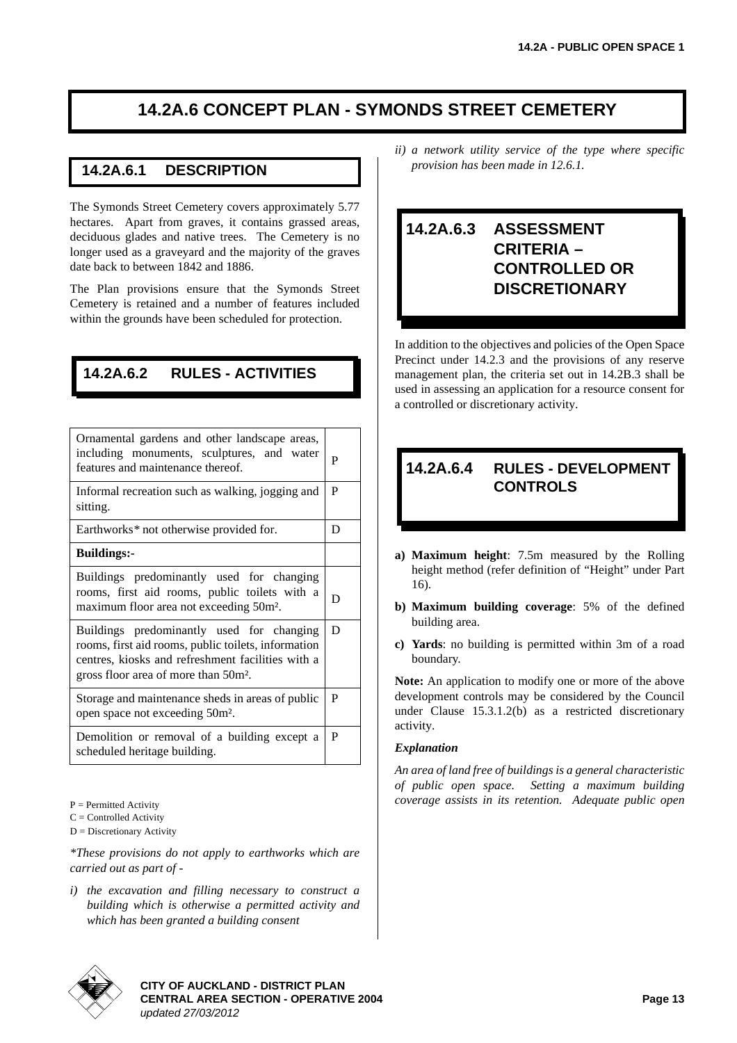## **14.2A.6 CONCEPT PLAN - SYMONDS STREET CEMETERY**

#### <span id="page-12-0"></span> **14.2A.6.1 DESCRIPTION**

The Symonds Street Cemetery covers approximately 5.77 hectares. Apart from graves, it contains grassed areas, deciduous glades and native trees. The Cemetery is no longer used as a graveyard and the majority of the graves date back to between 1842 and 1886.

The Plan provisions ensure that the Symonds Street Cemetery is retained and a number of features included within the grounds have been scheduled for protection.

## **14.2A.6.2 RULES - ACTIVITIES**

| Ornamental gardens and other landscape areas,<br>including monuments, sculptures, and water<br>features and maintenance thereof.                                                                          | P |
|-----------------------------------------------------------------------------------------------------------------------------------------------------------------------------------------------------------|---|
| Informal recreation such as walking, jogging and<br>sitting.                                                                                                                                              | P |
| Earthworks* not otherwise provided for.                                                                                                                                                                   | D |
| <b>Buildings:-</b>                                                                                                                                                                                        |   |
| Buildings predominantly used for changing<br>rooms, first aid rooms, public toilets with a<br>maximum floor area not exceeding 50m <sup>2</sup> .                                                         | D |
| Buildings predominantly used for changing<br>rooms, first aid rooms, public toilets, information<br>centres, kiosks and refreshment facilities with a<br>gross floor area of more than 50m <sup>2</sup> . | D |
| Storage and maintenance sheds in areas of public<br>open space not exceeding 50m <sup>2</sup> .                                                                                                           | P |
| Demolition or removal of a building except a<br>scheduled heritage building.                                                                                                                              | P |

- P = Permitted Activity
- $C =$  Controlled Activity
- D = Discretionary Activity

*\*These provisions do not apply to earthworks which are carried out as part of -*

*i) the excavation and filling necessary to construct a building which is otherwise a permitted activity and which has been granted a building consent*

*ii) a network utility service of the type where specific provision has been made in 12.6.1.*

## **14.2A.6.3 ASSESSMENT CRITERIA – CONTROLLED OR DISCRETIONARY**

In addition to the objectives and policies of the Open Space Precinct under 14.2.3 and the provisions of any reserve management plan, the criteria set out in 14.2B.3 shall be used in assessing an application for a resource consent for a controlled or discretionary activity.

## **14.2A.6.4 RULES - DEVELOPMENT CONTROLS**

- **a) Maximum height**: 7.5m measured by the Rolling height method (refer definition of "Height" under Part 16).
- **b) Maximum building coverage**: 5% of the defined building area.
- **c) Yards**: no building is permitted within 3m of a road boundary.

**Note:** An application to modify one or more of the above development controls may be considered by the Council under Clause 15.3.1.2(b) as a restricted discretionary activity.

#### *Explanation*

*An area of land free of buildings is a general characteristic of public open space. Setting a maximum building coverage assists in its retention. Adequate public open* 

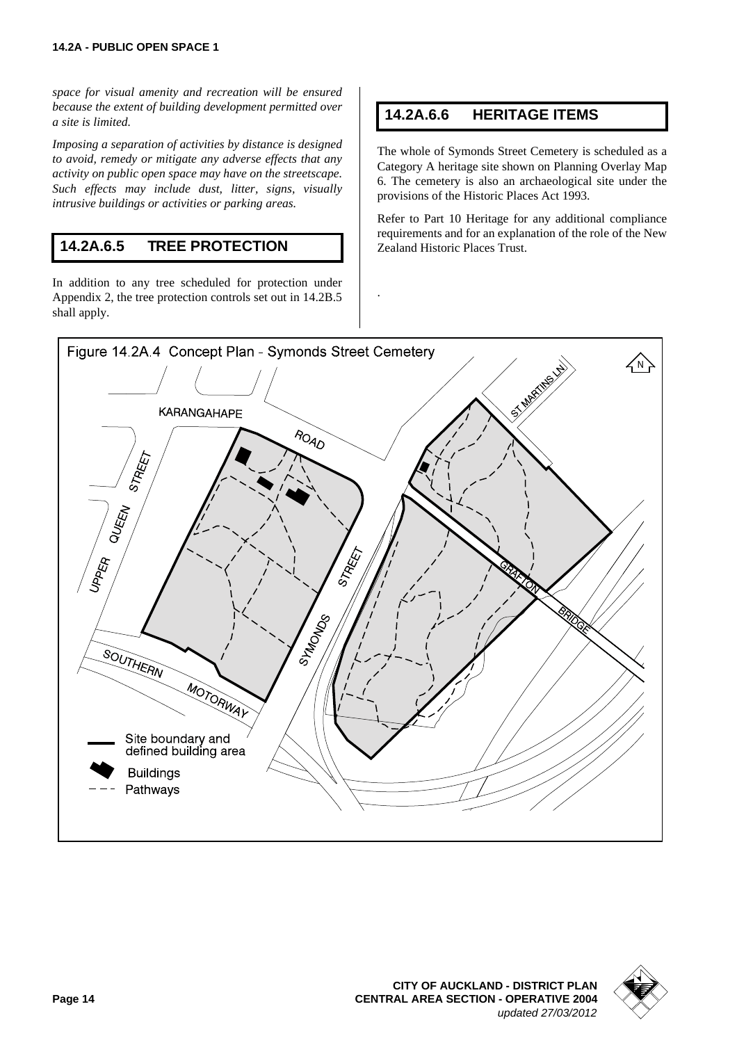*space for visual amenity and recreation will be ensured because the extent of building development permitted over a site is limited.*

*Imposing a separation of activities by distance is designed to avoid, remedy or mitigate any adverse effects that any activity on public open space may have on the streetscape. Such effects may include dust, litter, signs, visually intrusive buildings or activities or parking areas.*

## **14.2A.6.5 TREE PROTECTION**

In addition to any tree scheduled for protection under Appendix 2, the tree protection controls set out in 14.2B.5 shall apply.

### **14.2A.6.6 HERITAGE ITEMS**

The whole of Symonds Street Cemetery is scheduled as a Category A heritage site shown on Planning Overlay Map 6. The cemetery is also an archaeological site under the provisions of the Historic Places Act 1993.

Refer to Part 10 Heritage for any additional compliance requirements and for an explanation of the role of the New Zealand Historic Places Trust.



.

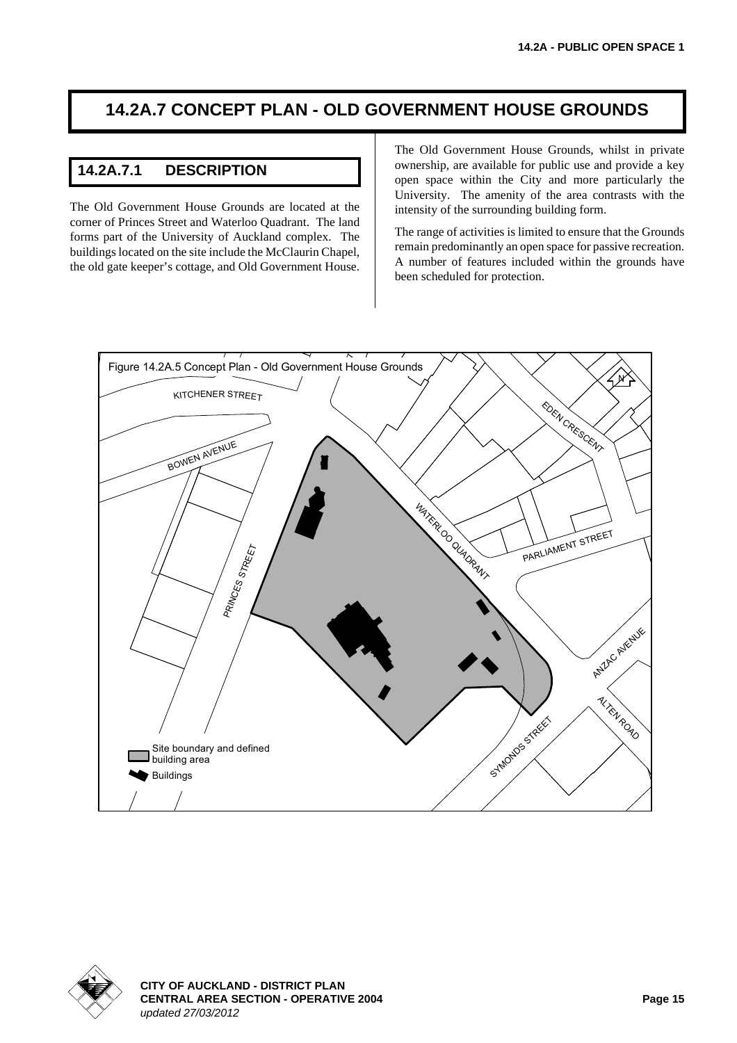## <span id="page-14-0"></span>**14.2A.7 CONCEPT PLAN - OLD GOVERNMENT HOUSE GROUNDS**

#### **14.2A.7.1 DESCRIPTION**

The Old Government House Grounds are located at the corner of Princes Street and Waterloo Quadrant. The land forms part of the University of Auckland complex. The buildings located on the site include the McClaurin Chapel, the old gate keeper's cottage, and Old Government House.

The Old Government House Grounds, whilst in private ownership, are available for public use and provide a key open space within the City and more particularly the University. The amenity of the area contrasts with the intensity of the surrounding building form.

The range of activities is limited to ensure that the Grounds remain predominantly an open space for passive recreation. A number of features included within the grounds have been scheduled for protection.



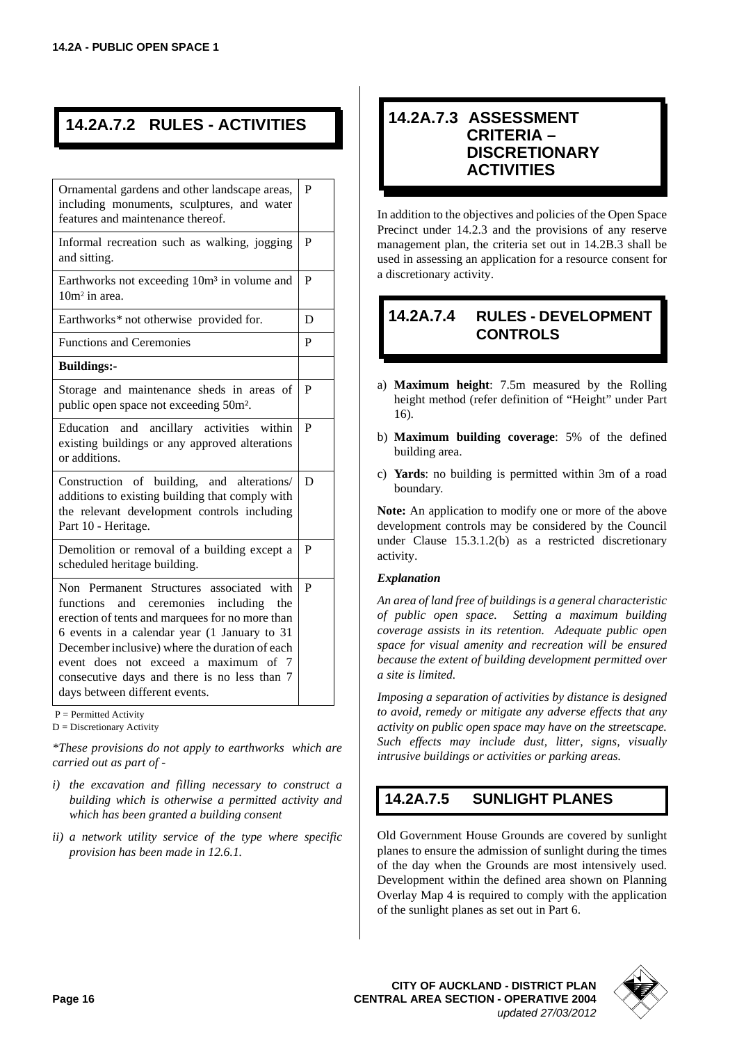# **14.2A.7.2 RULES - ACTIVITIES**

| Ornamental gardens and other landscape areas,<br>including monuments, sculptures, and water<br>features and maintenance thereof.                                                                                                                                                                                                                                        | $\mathbf P$ |
|-------------------------------------------------------------------------------------------------------------------------------------------------------------------------------------------------------------------------------------------------------------------------------------------------------------------------------------------------------------------------|-------------|
| Informal recreation such as walking, jogging<br>and sitting.                                                                                                                                                                                                                                                                                                            | P           |
| Earthworks not exceeding 10m <sup>3</sup> in volume and<br>$10m2$ in area.                                                                                                                                                                                                                                                                                              | P           |
| Earthworks* not otherwise provided for.                                                                                                                                                                                                                                                                                                                                 | D           |
| <b>Functions and Ceremonies</b>                                                                                                                                                                                                                                                                                                                                         | P           |
| <b>Buildings:-</b>                                                                                                                                                                                                                                                                                                                                                      |             |
| Storage and maintenance sheds in areas of<br>public open space not exceeding 50m <sup>2</sup> .                                                                                                                                                                                                                                                                         | P           |
| ancillary activities within<br>Education<br>and<br>existing buildings or any approved alterations<br>or additions.                                                                                                                                                                                                                                                      | P           |
| Construction of building, and alterations/<br>additions to existing building that comply with<br>the relevant development controls including<br>Part 10 - Heritage.                                                                                                                                                                                                     | D           |
| Demolition or removal of a building except a<br>scheduled heritage building.                                                                                                                                                                                                                                                                                            | $\mathbf P$ |
| Non Permanent Structures associated with<br>and ceremonies including<br>functions<br>the<br>erection of tents and marquees for no more than<br>6 events in a calendar year (1 January to 31<br>December inclusive) where the duration of each<br>event does not exceed a maximum of 7<br>consecutive days and there is no less than 7<br>days between different events. | P           |

 $P = Permitted Activity$ 

D = Discretionary Activity

*\*These provisions do not apply to earthworks which are carried out as part of -*

- *i) the excavation and filling necessary to construct a building which is otherwise a permitted activity and which has been granted a building consent*
- *ii) a network utility service of the type where specific provision has been made in 12.6.1.*

### **14.2A.7.3 ASSESSMENT CRITERIA – DISCRETIONARY ACTIVITIES**

In addition to the objectives and policies of the Open Space Precinct under 14.2.3 and the provisions of any reserve management plan, the criteria set out in 14.2B.3 shall be used in assessing an application for a resource consent for a discretionary activity.

# **14.2A.7.4 RULES - DEVELOPMENT CONTROLS**

- a) **Maximum height**: 7.5m measured by the Rolling height method (refer definition of "Height" under Part 16).
- b) **Maximum building coverage**: 5% of the defined building area.
- c) **Yards**: no building is permitted within 3m of a road boundary.

**Note:** An application to modify one or more of the above development controls may be considered by the Council under Clause 15.3.1.2(b) as a restricted discretionary activity.

#### *Explanation*

*An area of land free of buildings is a general characteristic of public open space. Setting a maximum building coverage assists in its retention. Adequate public open space for visual amenity and recreation will be ensured because the extent of building development permitted over a site is limited.*

*Imposing a separation of activities by distance is designed to avoid, remedy or mitigate any adverse effects that any activity on public open space may have on the streetscape. Such effects may include dust, litter, signs, visually intrusive buildings or activities or parking areas.*

## **14.2A.7.5 SUNLIGHT PLANES**

Old Government House Grounds are covered by sunlight planes to ensure the admission of sunlight during the times of the day when the Grounds are most intensively used. Development within the defined area shown on Planning Overlay Map 4 is required to comply with the application of the sunlight planes as set out in Part 6.

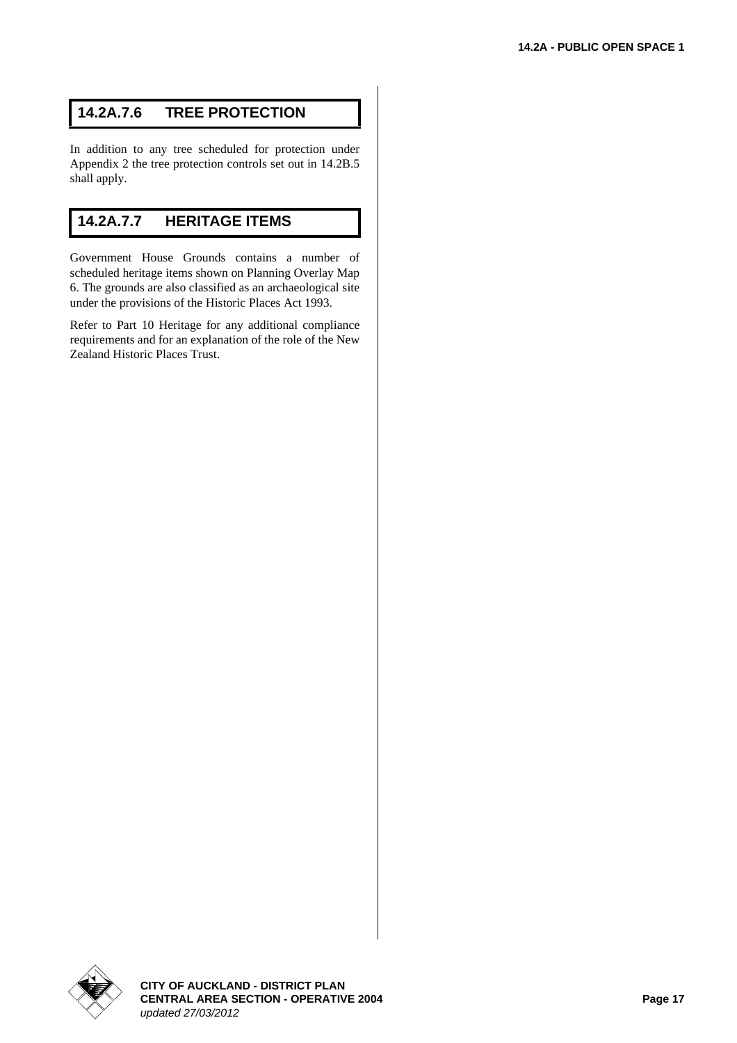## **14.2A.7.6 TREE PROTECTION**

In addition to any tree scheduled for protection under Appendix 2 the tree protection controls set out in 14.2B.5 shall apply.

## **14.2A.7.7 HERITAGE ITEMS**

Government House Grounds contains a number of scheduled heritage items shown on Planning Overlay Map 6. The grounds are also classified as an archaeological site under the provisions of the Historic Places Act 1993.

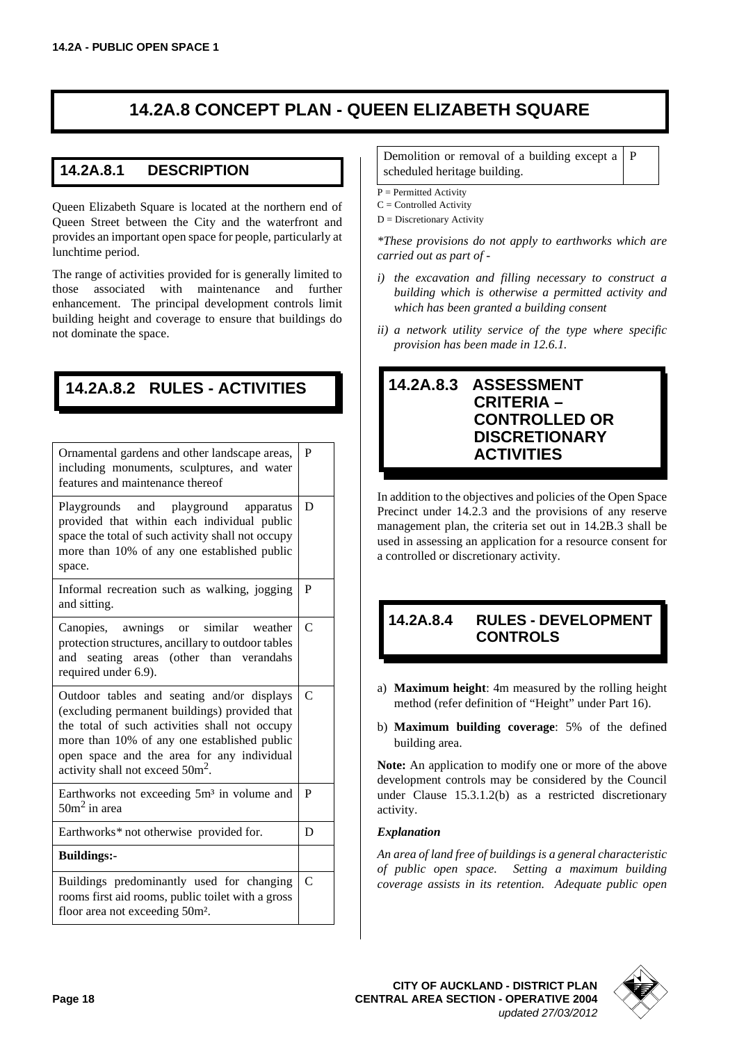# **14.2A.8 CONCEPT PLAN - QUEEN ELIZABETH SQUARE**

#### <span id="page-17-0"></span>**14.2A.8.1 DESCRIPTION**

Queen Elizabeth Square is located at the northern end of Queen Street between the City and the waterfront and provides an important open space for people, particularly at lunchtime period.

The range of activities provided for is generally limited to those associated with maintenance and further enhancement. The principal development controls limit building height and coverage to ensure that buildings do not dominate the space.

# **14.2A.8.2 RULES - ACTIVITIES**

| Ornamental gardens and other landscape areas,<br>including monuments, sculptures, and water<br>features and maintenance thereof                                                                                                                                                           | P            |
|-------------------------------------------------------------------------------------------------------------------------------------------------------------------------------------------------------------------------------------------------------------------------------------------|--------------|
| Playgrounds and playground apparatus<br>provided that within each individual public<br>space the total of such activity shall not occupy<br>more than 10% of any one established public<br>space.                                                                                         | D            |
| Informal recreation such as walking, jogging<br>and sitting.                                                                                                                                                                                                                              | P            |
| Canopies, awnings or similar weather<br>protection structures, ancillary to outdoor tables<br>and seating areas (other than verandahs<br>required under 6.9).                                                                                                                             | $\mathsf{C}$ |
| Outdoor tables and seating and/or displays<br>(excluding permanent buildings) provided that<br>the total of such activities shall not occupy<br>more than 10% of any one established public<br>open space and the area for any individual<br>activity shall not exceed 50m <sup>2</sup> . | $\mathsf{C}$ |
| Earthworks not exceeding 5m <sup>3</sup> in volume and<br>$50m2$ in area                                                                                                                                                                                                                  | P            |
| Earthworks* not otherwise provided for.                                                                                                                                                                                                                                                   | D            |
| <b>Buildings:-</b>                                                                                                                                                                                                                                                                        |              |
| Buildings predominantly used for changing<br>rooms first aid rooms, public toilet with a gross<br>floor area not exceeding 50m <sup>2</sup> .                                                                                                                                             | $\mathsf{C}$ |

Demolition or removal of a building except a | P scheduled heritage building.

 $P = Permitted Activity$ 

 $C =$  Controlled Activity

D = Discretionary Activity

*\*These provisions do not apply to earthworks which are carried out as part of -*

- *i) the excavation and filling necessary to construct a building which is otherwise a permitted activity and which has been granted a building consent*
- *ii) a network utility service of the type where specific provision has been made in 12.6.1.*

### **14.2A.8.3 ASSESSMENT CRITERIA – CONTROLLED OR DISCRETIONARY ACTIVITIES**

In addition to the objectives and policies of the Open Space Precinct under 14.2.3 and the provisions of any reserve management plan, the criteria set out in 14.2B.3 shall be used in assessing an application for a resource consent for a controlled or discretionary activity.

## **14.2A.8.4 RULES - DEVELOPMENT CONTROLS**

- a) **Maximum height**: 4m measured by the rolling height method (refer definition of "Height" under Part 16).
- b) **Maximum building coverage**: 5% of the defined building area.

**Note:** An application to modify one or more of the above development controls may be considered by the Council under Clause 15.3.1.2(b) as a restricted discretionary activity.

#### *Explanation*

*An area of land free of buildings is a general characteristic of public open space. Setting a maximum building coverage assists in its retention. Adequate public open*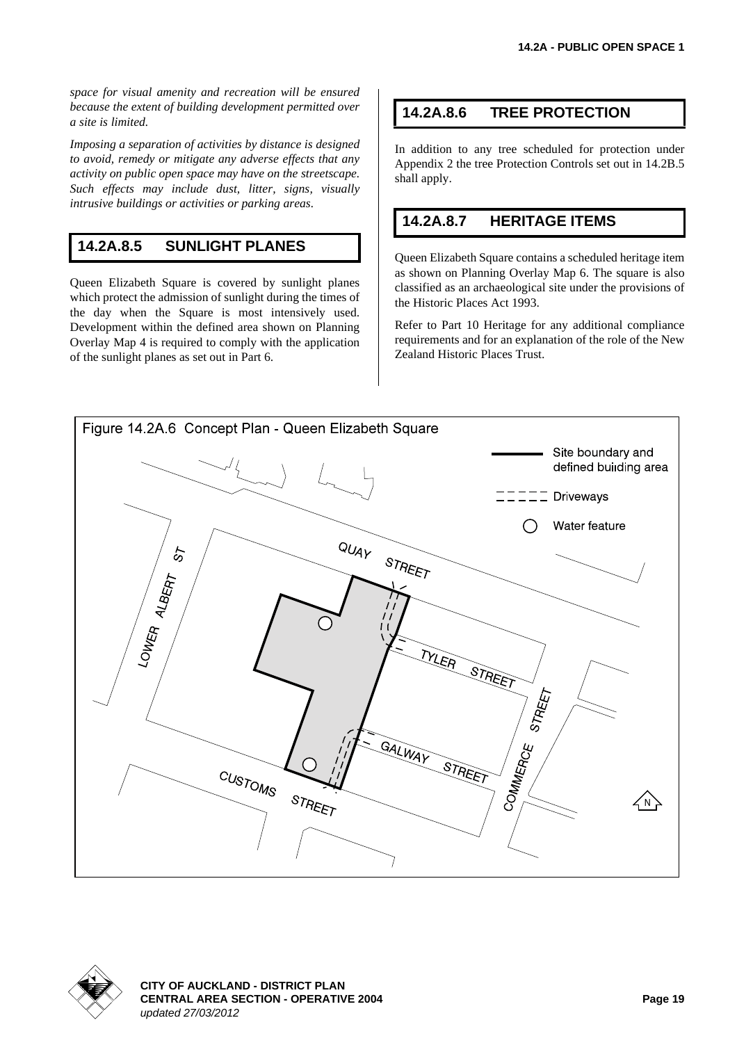*space for visual amenity and recreation will be ensured because the extent of building development permitted over a site is limited.*

*Imposing a separation of activities by distance is designed to avoid, remedy or mitigate any adverse effects that any activity on public open space may have on the streetscape. Such effects may include dust, litter, signs, visually intrusive buildings or activities or parking areas.*

### **14.2A.8.5 SUNLIGHT PLANES**

Queen Elizabeth Square is covered by sunlight planes which protect the admission of sunlight during the times of the day when the Square is most intensively used. Development within the defined area shown on Planning Overlay Map 4 is required to comply with the application of the sunlight planes as set out in Part 6.

### **14.2A.8.6 TREE PROTECTION**

In addition to any tree scheduled for protection under Appendix 2 the tree Protection Controls set out in 14.2B.5 shall apply.

## **14.2A.8.7 HERITAGE ITEMS**

Queen Elizabeth Square contains a scheduled heritage item as shown on Planning Overlay Map 6. The square is also classified as an archaeological site under the provisions of the Historic Places Act 1993.



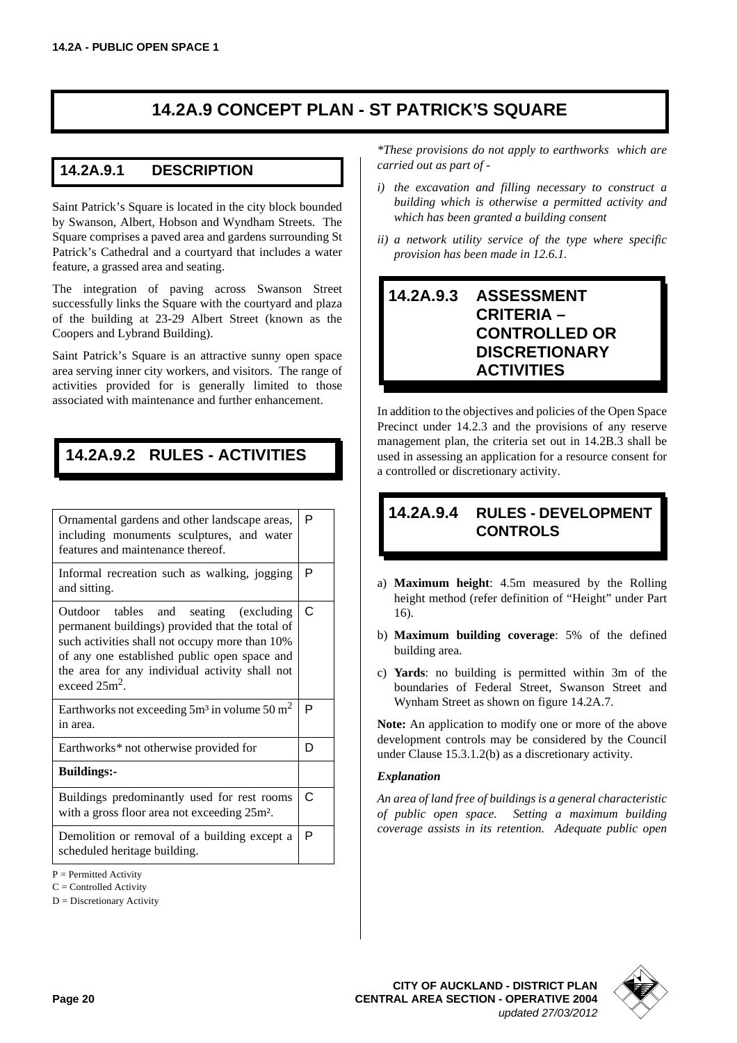## **14.2A.9 CONCEPT PLAN - ST PATRICK'S SQUARE**

#### <span id="page-19-0"></span>**14.2A.9.1 DESCRIPTION**

Saint Patrick's Square is located in the city block bounded by Swanson, Albert, Hobson and Wyndham Streets. The Square comprises a paved area and gardens surrounding St Patrick's Cathedral and a courtyard that includes a water feature, a grassed area and seating.

The integration of paving across Swanson Street successfully links the Square with the courtyard and plaza of the building at 23-29 Albert Street (known as the Coopers and Lybrand Building).

Saint Patrick's Square is an attractive sunny open space area serving inner city workers, and visitors. The range of activities provided for is generally limited to those associated with maintenance and further enhancement.

## **14.2A.9.2 RULES - ACTIVITIES**

| Ornamental gardens and other landscape areas,<br>including monuments sculptures, and water<br>features and maintenance thereof.                                                                                                                                  | P |
|------------------------------------------------------------------------------------------------------------------------------------------------------------------------------------------------------------------------------------------------------------------|---|
| Informal recreation such as walking, jogging<br>and sitting.                                                                                                                                                                                                     | P |
| Outdoor tables and seating (excluding<br>permanent buildings) provided that the total of<br>such activities shall not occupy more than 10%<br>of any one established public open space and<br>the area for any individual activity shall not<br>exceed $25m^2$ . | C |
| Earthworks not exceeding $5m^3$ in volume $50m^2$<br>in area.                                                                                                                                                                                                    | P |
| Earthworks* not otherwise provided for                                                                                                                                                                                                                           | D |
| <b>Buildings:-</b>                                                                                                                                                                                                                                               |   |
| Buildings predominantly used for rest rooms<br>with a gross floor area not exceeding 25m <sup>2</sup> .                                                                                                                                                          | C |
| Demolition or removal of a building except a<br>scheduled heritage building.                                                                                                                                                                                     | P |

P = Permitted Activity

 $C =$  Controlled Activity

D = Discretionary Activity

*\*These provisions do not apply to earthworks which are carried out as part of -*

- *i) the excavation and filling necessary to construct a building which is otherwise a permitted activity and which has been granted a building consent*
- *ii) a network utility service of the type where specific provision has been made in 12.6.1.*

### **14.2A.9.3 ASSESSMENT CRITERIA – CONTROLLED OR DISCRETIONARY ACTIVITIES**

In addition to the objectives and policies of the Open Space Precinct under 14.2.3 and the provisions of any reserve management plan, the criteria set out in 14.2B.3 shall be used in assessing an application for a resource consent for a controlled or discretionary activity.

## **14.2A.9.4 RULES - DEVELOPMENT CONTROLS**

- a) **Maximum height**: 4.5m measured by the Rolling height method (refer definition of "Height" under Part 16).
- b) **Maximum building coverage**: 5% of the defined building area.
- c) **Yards**: no building is permitted within 3m of the boundaries of Federal Street, Swanson Street and Wynham Street as shown on figure 14.2A.7.

**Note:** An application to modify one or more of the above development controls may be considered by the Council under Clause 15.3.1.2(b) as a discretionary activity.

#### *Explanation*

*An area of land free of buildings is a general characteristic of public open space. Setting a maximum building coverage assists in its retention. Adequate public open* 

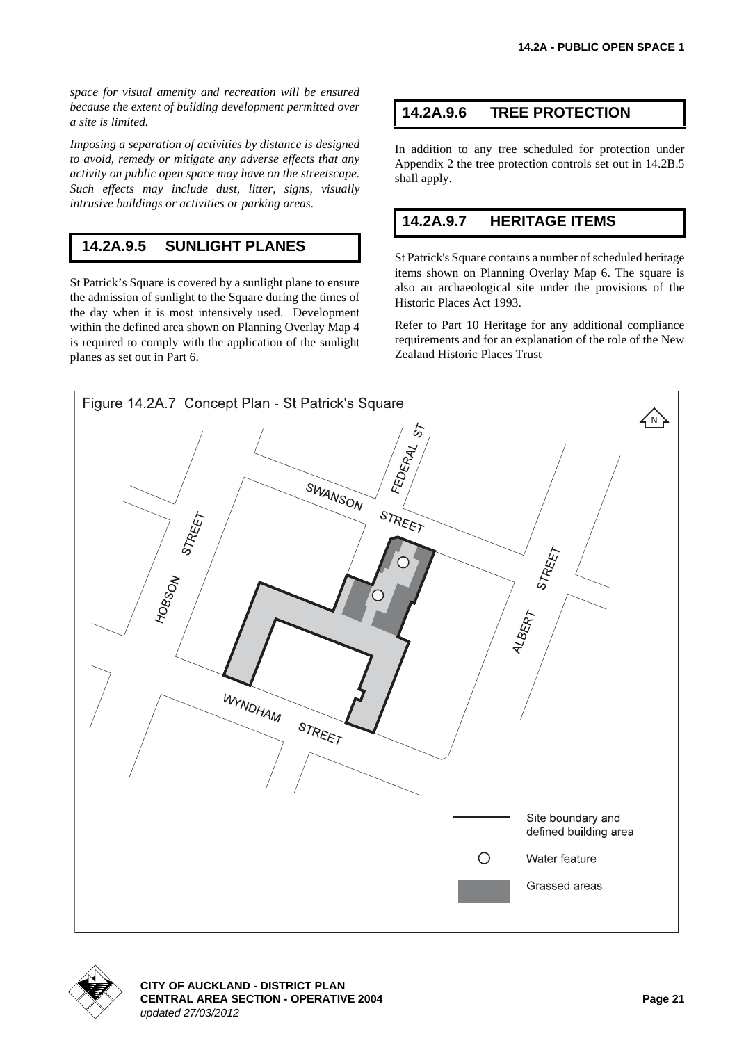*space for visual amenity and recreation will be ensured because the extent of building development permitted over a site is limited.*

*Imposing a separation of activities by distance is designed to avoid, remedy or mitigate any adverse effects that any activity on public open space may have on the streetscape. Such effects may include dust, litter, signs, visually intrusive buildings or activities or parking areas.*

### **14.2A.9.5 SUNLIGHT PLANES**

St Patrick's Square is covered by a sunlight plane to ensure the admission of sunlight to the Square during the times of the day when it is most intensively used. Development within the defined area shown on Planning Overlay Map 4 is required to comply with the application of the sunlight planes as set out in Part 6.

### **14.2A.9.6 TREE PROTECTION**

In addition to any tree scheduled for protection under Appendix 2 the tree protection controls set out in 14.2B.5 shall apply.

### **14.2A.9.7 HERITAGE ITEMS**

St Patrick's Square contains a number of scheduled heritage items shown on Planning Overlay Map 6. The square is also an archaeological site under the provisions of the Historic Places Act 1993.



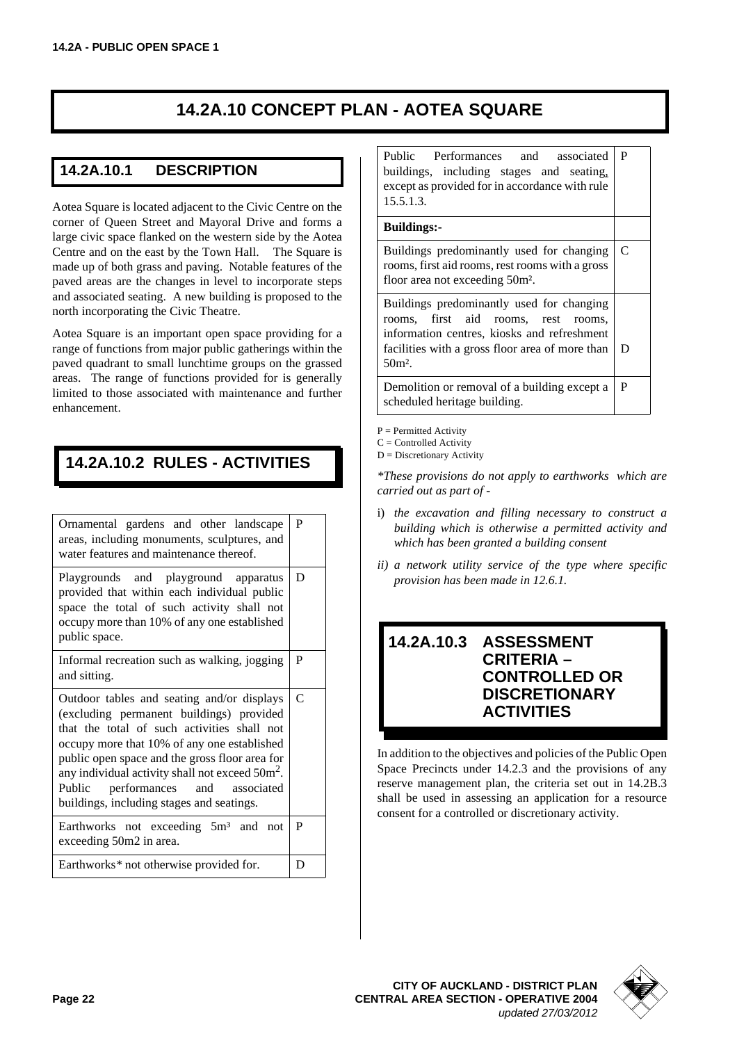# **14.2A.10 CONCEPT PLAN - AOTEA SQUARE**

### <span id="page-21-0"></span>**14.2A.10.1 DESCRIPTION**

Aotea Square is located adjacent to the Civic Centre on the corner of Queen Street and Mayoral Drive and forms a large civic space flanked on the western side by the Aotea Centre and on the east by the Town Hall. The Square is made up of both grass and paving. Notable features of the paved areas are the changes in level to incorporate steps and associated seating. A new building is proposed to the north incorporating the Civic Theatre.

Aotea Square is an important open space providing for a range of functions from major public gatherings within the paved quadrant to small lunchtime groups on the grassed areas. The range of functions provided for is generally limited to those associated with maintenance and further enhancement.

## **14.2A.10.2 RULES - ACTIVITIES**

| Ornamental gardens and other landscape<br>areas, including monuments, sculptures, and<br>water features and maintenance thereof.                                                                                                                                                                                                                                                | P            |
|---------------------------------------------------------------------------------------------------------------------------------------------------------------------------------------------------------------------------------------------------------------------------------------------------------------------------------------------------------------------------------|--------------|
| Playgrounds and playground apparatus<br>provided that within each individual public<br>space the total of such activity shall not<br>occupy more than 10% of any one established<br>public space.                                                                                                                                                                               | D            |
| Informal recreation such as walking, jogging<br>and sitting.                                                                                                                                                                                                                                                                                                                    | P            |
| Outdoor tables and seating and/or displays<br>(excluding permanent buildings) provided<br>that the total of such activities shall not<br>occupy more that 10% of any one established<br>public open space and the gross floor area for<br>any individual activity shall not exceed $50m^2$ .<br>Public performances and associated<br>buildings, including stages and seatings. | $\mathsf{C}$ |
| Earthworks not exceeding 5m <sup>3</sup> and not<br>exceeding 50m2 in area.                                                                                                                                                                                                                                                                                                     | P            |
| Earthworks* not otherwise provided for.                                                                                                                                                                                                                                                                                                                                         | D            |

Public Performances and associated buildings, including stages and seating, except as provided for in accordance with rule 15.5.1.3. P

#### **Buildings:-**

Buildings predominantly used for changing rooms, first aid rooms, rest rooms with a gross floor area not exceeding 50m².  $\mathcal{C}$ 

Buildings predominantly used for changing rooms, first aid rooms, rest rooms, information centres, kiosks and refreshment facilities with a gross floor area of more than 50m². D

Demolition or removal of a building except a scheduled heritage building. P

- $P = Permitted Activity$
- $C =$  Controlled Activity

D = Discretionary Activity

*\*These provisions do not apply to earthworks which are carried out as part of -*

- i) *the excavation and filling necessary to construct a building which is otherwise a permitted activity and which has been granted a building consent*
- *ii) a network utility service of the type where specific provision has been made in 12.6.1.*

### **14.2A.10.3 ASSESSMENT CRITERIA – CONTROLLED OR DISCRETIONARY ACTIVITIES**

In addition to the objectives and policies of the Public Open Space Precincts under 14.2.3 and the provisions of any reserve management plan, the criteria set out in 14.2B.3 shall be used in assessing an application for a resource consent for a controlled or discretionary activity.

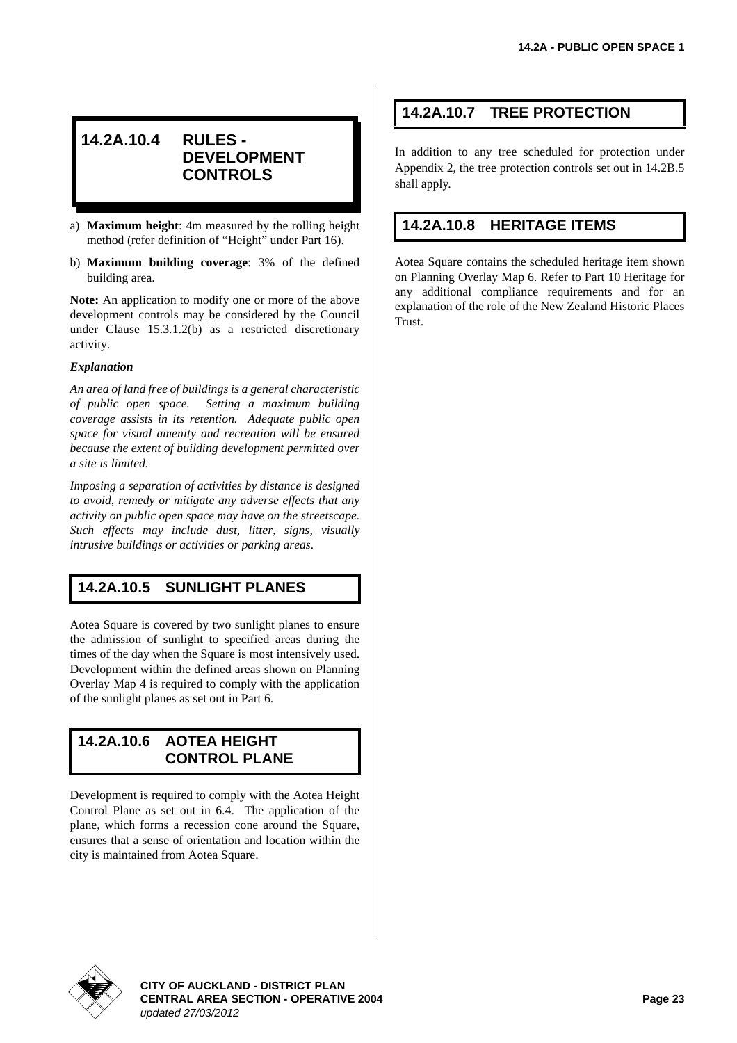### **14.2A.10.4 RULES - DEVELOPMENT CONTROLS**

- a) **Maximum height**: 4m measured by the rolling height method (refer definition of "Height" under Part 16).
- b) **Maximum building coverage**: 3% of the defined building area.

**Note:** An application to modify one or more of the above development controls may be considered by the Council under Clause 15.3.1.2(b) as a restricted discretionary activity.

#### *Explanation*

*An area of land free of buildings is a general characteristic of public open space. Setting a maximum building coverage assists in its retention. Adequate public open space for visual amenity and recreation will be ensured because the extent of building development permitted over a site is limited.*

*Imposing a separation of activities by distance is designed to avoid, remedy or mitigate any adverse effects that any activity on public open space may have on the streetscape. Such effects may include dust, litter, signs, visually intrusive buildings or activities or parking areas.*

## **14.2A.10.5 SUNLIGHT PLANES**

Aotea Square is covered by two sunlight planes to ensure the admission of sunlight to specified areas during the times of the day when the Square is most intensively used. Development within the defined areas shown on Planning Overlay Map 4 is required to comply with the application of the sunlight planes as set out in Part 6.

### **14.2A.10.6 AOTEA HEIGHT CONTROL PLANE**

Development is required to comply with the Aotea Height Control Plane as set out in 6.4. The application of the plane, which forms a recession cone around the Square, ensures that a sense of orientation and location within the city is maintained from Aotea Square.

## **14.2A.10.7 TREE PROTECTION**

In addition to any tree scheduled for protection under Appendix 2, the tree protection controls set out in 14.2B.5 shall apply.

### **14.2A.10.8 HERITAGE ITEMS**

Aotea Square contains the scheduled heritage item shown on Planning Overlay Map 6. Refer to Part 10 Heritage for any additional compliance requirements and for an explanation of the role of the New Zealand Historic Places Trust.